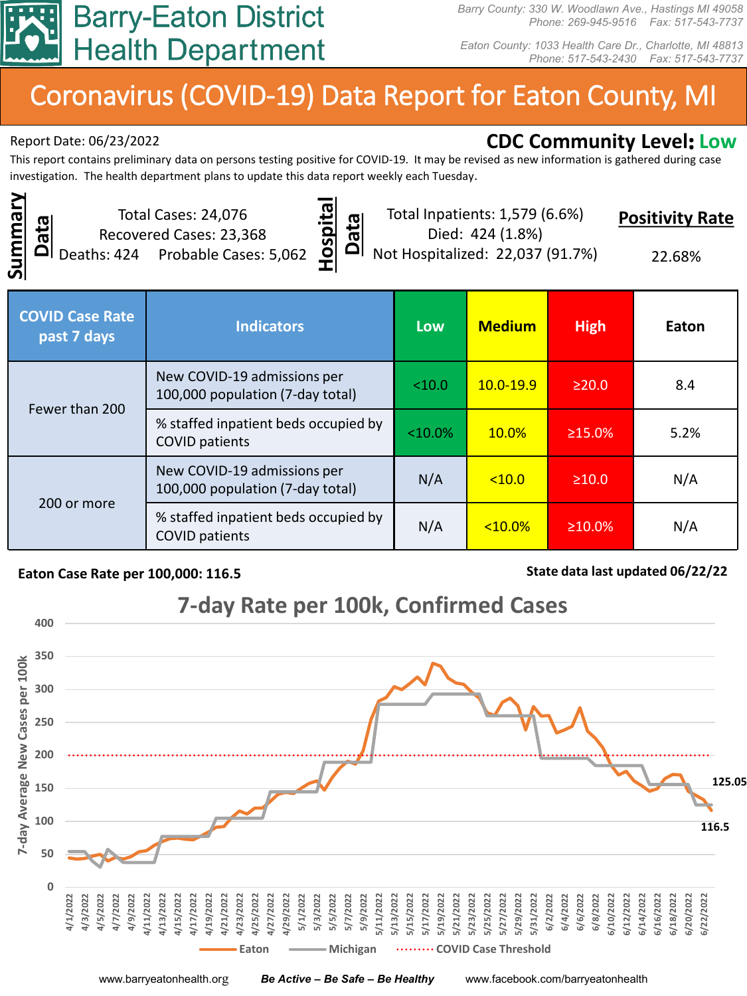

*Barry County: 330 W. Woodlawn Ave., Hastings MI 49058 Phone: 269-945-9516 Fax: 517-543-7737*

*Eaton County: 1033 Health Care Dr., Charlotte, MI 48813 Phone: 517-543-2430 Fax: 517-543-7737*

# Coronavirus (COVID-19) Data Report for Eaton County, MI

# Report Date: 06/23/2022 **CDC Community Level: Low**

This report contains preliminary data on persons testing positive for COVID-19. It may be revised as new information is gathered during case investigation. The health department plans to update this data report weekly each Tuesday.

**Summary**  Summary **Data**

Total Cases: 24,076 Recovered Cases: 23,368 Deaths: 424 Probable Cases: 5,062



Total Inpatients: 1,579 (6.6%) Died: 424 (1.8%)

**Positivity Rate**

Not Hospitalized: 22,037 (91.7%)

22.68%

| <b>COVID Case Rate</b><br>past 7 days | <b>Indicators</b>                                               | <b>Low</b> | <b>Medium</b> | <b>High</b>   | Eaton |
|---------------------------------------|-----------------------------------------------------------------|------------|---------------|---------------|-------|
| Fewer than 200                        | New COVID-19 admissions per<br>100,000 population (7-day total) | < 10.0     | $10.0 - 19.9$ | $\geq$ 20.0   | 8.4   |
|                                       | % staffed inpatient beds occupied by<br><b>COVID patients</b>   | $<10.0\%$  | 10.0%         | $\geq 15.0\%$ | 5.2%  |
| 200 or more                           | New COVID-19 admissions per<br>100,000 population (7-day total) | N/A        | < 10.0        | $\geq 10.0$   | N/A   |
|                                       | % staffed inpatient beds occupied by<br><b>COVID patients</b>   | N/A        | $10.0\%$      | $\geq 10.0\%$ | N/A   |

#### **Eaton Case Rate per 100,000: 116.5 State data last updated 06/22/22**